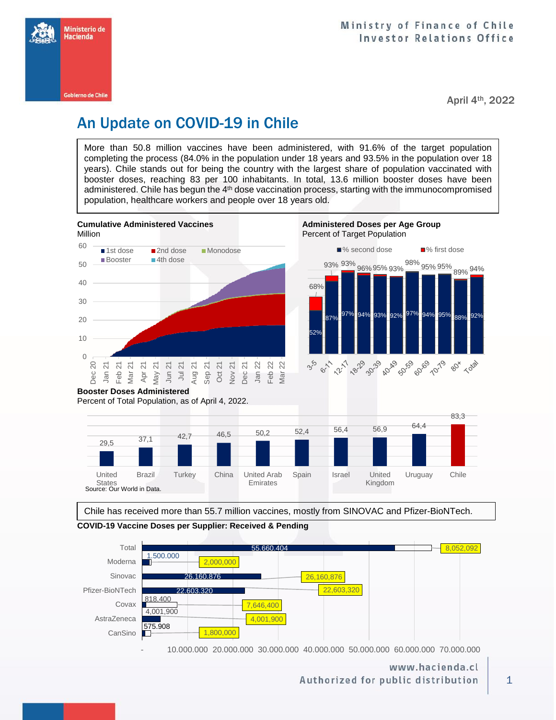

April 4th, 2022

# An Update on COVID-19 in Chile

More than 50.8 million vaccines have been administered, with 91.6% of the target population completing the process (84.0% in the population under 18 years and 93.5% in the population over 18 years). Chile stands out for being the country with the largest share of population vaccinated with booster doses, reaching 83 per 100 inhabitants. In total, 13.6 million booster doses have been administered. Chile has begun the 4<sup>th</sup> dose vaccination process, starting with the immunocompromised population, healthcare workers and people over 18 years old.



Percent of Total Population, as of April 4, 2022.



Chile has received more than 55.7 million vaccines, mostly from SINOVAC and Pfizer-BioNTech.

**COVID-19 Vaccine Doses per Supplier: Received & Pending**



- 10.000.000 20.000.000 30.000.000 40.000.000 50.000.000 60.000.000 70.000.000

www.hacienda.cl Authorized for public distribution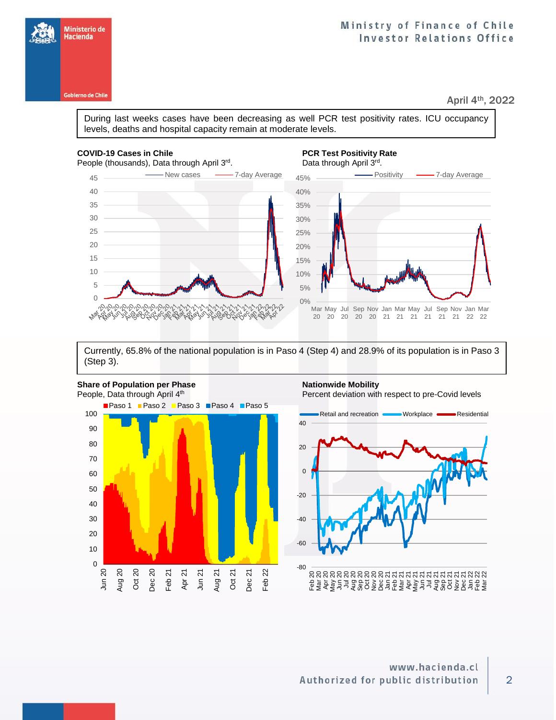## Ministry of Finance of Chile **Investor Relations Office**

April 4th, 2022

During last weeks cases have been decreasing as well PCR test positivity rates. ICU occupancy levels, deaths and hospital capacity remain at moderate levels.

#### **COVID-19 Cases in Chile PCR Test Positivity Rate PCR Test Positivity Rate**

 $220$ 

**Marginalu** 

People (thousands), Data through April 3rd

# . Data through April 3rd.



Currently, 65.8% of the national population is in Paso 4 (Step 4) and 28.9% of its population is in Paso 3 (Step 3).



Percent deviation with respect to pre-Covid levels



2